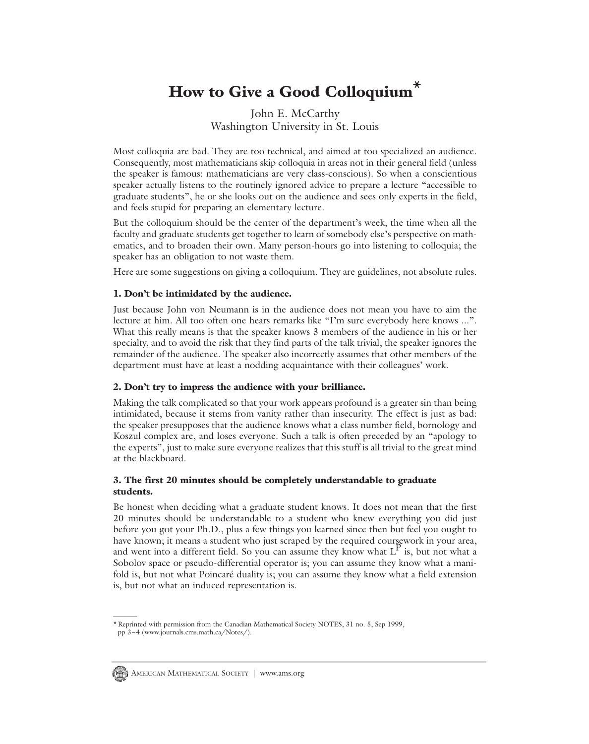# **How to Give a Good Colloquium\***

## John E. McCarthy Washington University in St. Louis

Most colloquia are bad. They are too technical, and aimed at too specialized an audience. Consequently, most mathematicians skip colloquia in areas not in their general field (unless the speaker is famous: mathematicians are very class-conscious). So when a conscientious speaker actually listens to the routinely ignored advice to prepare a lecture "accessible to graduate students", he or she looks out on the audience and sees only experts in the field, and feels stupid for preparing an elementary lecture.

But the colloquium should be the center of the department's week, the time when all the faculty and graduate students get together to learn of somebody else's perspective on mathematics, and to broaden their own. Many person-hours go into listening to colloquia; the speaker has an obligation to not waste them.

Here are some suggestions on giving a colloquium. They are guidelines, not absolute rules.

#### **1. Don't be intimidated by the audience.**

Just because John von Neumann is in the audience does not mean you have to aim the lecture at him. All too often one hears remarks like "I'm sure everybody here knows ...". What this really means is that the speaker knows 3 members of the audience in his or her specialty, and to avoid the risk that they find parts of the talk trivial, the speaker ignores the remainder of the audience. The speaker also incorrectly assumes that other members of the department must have at least a nodding acquaintance with their colleagues' work.

#### **2. Don't try to impress the audience with your brilliance.**

Making the talk complicated so that your work appears profound is a greater sin than being intimidated, because it stems from vanity rather than insecurity. The effect is just as bad: the speaker presupposes that the audience knows what a class number field, bornology and Koszul complex are, and loses everyone. Such a talk is often preceded by an "apology to the experts", just to make sure everyone realizes that this stuff is all trivial to the great mind at the blackboard.

#### **3. The first 20 minutes should be completely understandable to graduate students.**

Be honest when deciding what a graduate student knows. It does not mean that the first 20 minutes should be understandable to a student who knew everything you did just before you got your Ph.D., plus a few things you learned since then but feel you ought to have known; it means a student who just scraped by the required coursework in your area, and went into a different field. So you can assume they know what  $L^P$  is, but not what a Sobolov space or pseudo-differential operator is; you can assume they know what a manifold is, but not what Poincaré duality is; you can assume they know what a field extension is, but not what an induced representation is.

 $\overline{\phantom{a}}$ 

<sup>\*</sup> Reprinted with permission from the Canadian Mathematical Society NOTES, 31 no. 5, Sep 1999, pp 3–4 (www.journals.cms.math.ca/Notes/).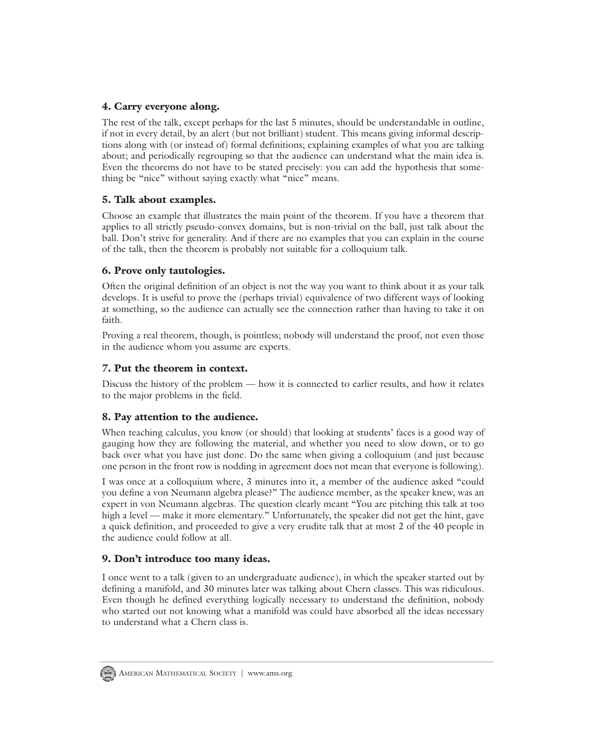## **4. Carry everyone along.**

The rest of the talk, except perhaps for the last 5 minutes, should be understandable in outline, if not in every detail, by an alert (but not brilliant) student. This means giving informal descriptions along with (or instead of) formal definitions; explaining examples of what you are talking about; and periodically regrouping so that the audience can understand what the main idea is. Even the theorems do not have to be stated precisely: you can add the hypothesis that something be "nice" without saying exactly what "nice" means.

## **5. Talk about examples.**

Choose an example that illustrates the main point of the theorem. If you have a theorem that applies to all strictly pseudo-convex domains, but is non-trivial on the ball, just talk about the ball. Don't strive for generality. And if there are no examples that you can explain in the course of the talk, then the theorem is probably not suitable for a colloquium talk.

## **6. Prove only tautologies.**

Often the original definition of an object is not the way you want to think about it as your talk develops. It is useful to prove the (perhaps trivial) equivalence of two different ways of looking at something, so the audience can actually see the connection rather than having to take it on faith.

Proving a real theorem, though, is pointless; nobody will understand the proof, not even those in the audience whom you assume are experts.

# **7. Put the theorem in context.**

Discuss the history of the problem — how it is connected to earlier results, and how it relates to the major problems in the field.

## **8. Pay attention to the audience.**

When teaching calculus, you know (or should) that looking at students' faces is a good way of gauging how they are following the material, and whether you need to slow down, or to go back over what you have just done. Do the same when giving a colloquium (and just because one person in the front row is nodding in agreement does not mean that everyone is following).

I was once at a colloquium where, 3 minutes into it, a member of the audience asked "could you define a von Neumann algebra please?" The audience member, as the speaker knew, was an expert in von Neumann algebras. The question clearly meant "You are pitching this talk at too high a level — make it more elementary." Unfortunately, the speaker did not get the hint, gave a quick definition, and proceeded to give a very erudite talk that at most 2 of the 40 people in the audience could follow at all.

## **9. Don't introduce too many ideas.**

I once went to a talk (given to an undergraduate audience), in which the speaker started out by defining a manifold, and 30 minutes later was talking about Chern classes. This was ridiculous. Even though he defined everything logically necessary to understand the definition, nobody who started out not knowing what a manifold was could have absorbed all the ideas necessary to understand what a Chern class is.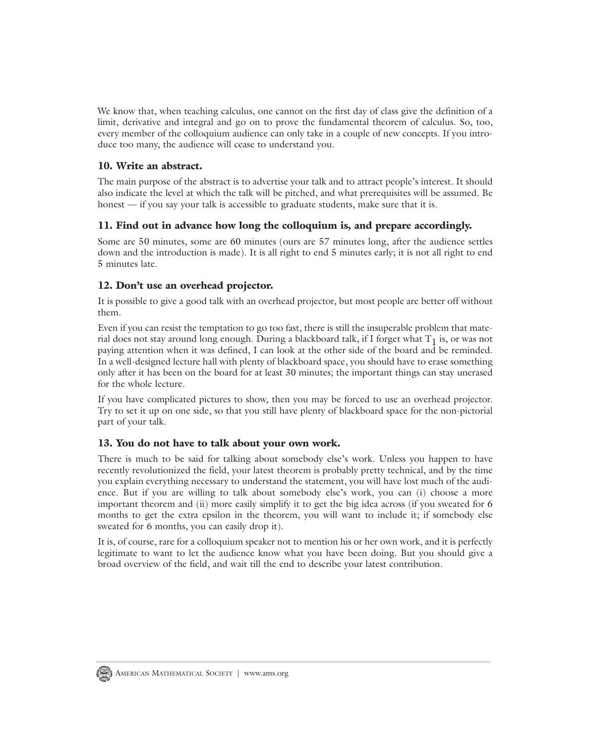We know that, when teaching calculus, one cannot on the first day of class give the definition of a limit, derivative and integral and go on to prove the fundamental theorem of calculus. So, too, every member of the colloquium audience can only take in a couple of new concepts. If you introduce too many, the audience will cease to understand you.

## **10. Write an abstract.**

The main purpose of the abstract is to advertise your talk and to attract people's interest. It should also indicate the level at which the talk will be pitched, and what prerequisites will be assumed. Be honest — if you say your talk is accessible to graduate students, make sure that it is.

## **11. Find out in advance how long the colloquium is, and prepare accordingly.**

Some are 50 minutes, some are 60 minutes (ours are 57 minutes long, after the audience settles down and the introduction is made). It is all right to end 5 minutes early; it is not all right to end 5 minutes late.

## **12. Don't use an overhead projector.**

It is possible to give a good talk with an overhead projector, but most people are better off without them.

Even if you can resist the temptation to go too fast, there is still the insuperable problem that material does not stay around long enough. During a blackboard talk, if I forget what  $T_1$  is, or was not paying attention when it was defined, I can look at the other side of the board and be reminded. In a well-designed lecture hall with plenty of blackboard space, you should have to erase something only after it has been on the board for at least 30 minutes; the important things can stay unerased for the whole lecture.

If you have complicated pictures to show, then you may be forced to use an overhead projector. Try to set it up on one side, so that you still have plenty of blackboard space for the non-pictorial part of your talk.

#### **13. You do not have to talk about your own work.**

There is much to be said for talking about somebody else's work. Unless you happen to have recently revolutionized the field, your latest theorem is probably pretty technical, and by the time you explain everything necessary to understand the statement, you will have lost much of the audience. But if you are willing to talk about somebody else's work, you can (i) choose a more important theorem and (ii) more easily simplify it to get the big idea across (if you sweated for 6 months to get the extra epsilon in the theorem, you will want to include it; if somebody else sweated for 6 months, you can easily drop it).

It is, of course, rare for a colloquium speaker not to mention his or her own work, and it is perfectly legitimate to want to let the audience know what you have been doing. But you should give a broad overview of the field, and wait till the end to describe your latest contribution.